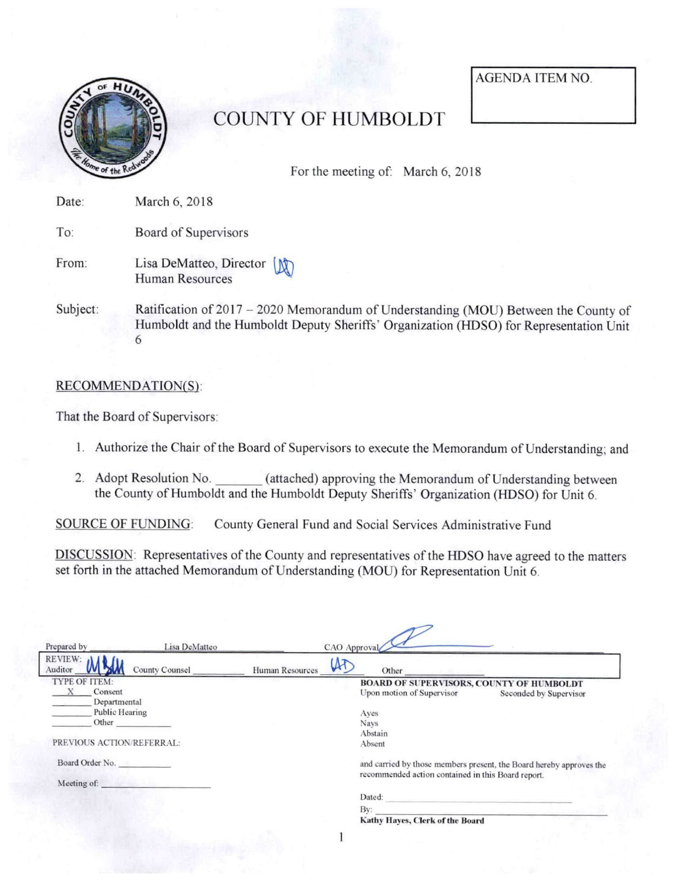

## COUNTY OF HUMBOLDT

For the meeting of: March 6, 2018

AGENDA ITEM NO

| Date:    | March 6, 2018                                          |
|----------|--------------------------------------------------------|
| To:      | Board of Supervisors                                   |
| From:    | Lisa DeMatteo, Director<br><b>Human Resources</b>      |
| Subject: | Ratification of $2017 - 20$<br>Lumboldt and the Llumbe |

20 Memorandum of Understanding (MOU) Between the County of Humboldt and the Humboldt Deputy Sheriffs' Organization (HDSO) for Representation Unit 6

## RECOMMENDATION(S):

That the Board of Supervisors:

- 1. Authorize the Chair of the Board of Supervisors to execute the Memorandum of Understanding; and
- 2. Adopt Resolution No. \_\_\_\_\_\_ (attached) approving the Memorandum of Understanding between the County of Humboldt and the Humboldt Deputy Sheriffs' Organization (HDSO) for Unit 6.

SOURCE OF FUNDING: County General Fund and Social Services Administrative Fund

 $\mathbb{Q}$ 

DISCUSSION: Representatives of the County and representatives of the HDSO have agreed to the matters set forth in the attached Memorandum of Understanding (MOU) for Representation Unit 6.

| Prepared by               | Lisa DeMatteo                                                                                                                                                                                                                        |                 | CAO Approval |                                                                                                                                                                                                                                         |                        |  |
|---------------------------|--------------------------------------------------------------------------------------------------------------------------------------------------------------------------------------------------------------------------------------|-----------------|--------------|-----------------------------------------------------------------------------------------------------------------------------------------------------------------------------------------------------------------------------------------|------------------------|--|
| REVIEW:<br>Auditor        | <b>County Counsel</b>                                                                                                                                                                                                                | Human Resources | LAT          | Other                                                                                                                                                                                                                                   |                        |  |
| TYPE OF ITEM:             |                                                                                                                                                                                                                                      |                 |              | BOARD OF SUPERVISORS, COUNTY OF HUMBOLDT                                                                                                                                                                                                |                        |  |
| Consent<br>Departmental   |                                                                                                                                                                                                                                      |                 |              | Upon motion of Supervisor                                                                                                                                                                                                               | Seconded by Supervisor |  |
| Public Hearing<br>--      |                                                                                                                                                                                                                                      |                 |              | Aves                                                                                                                                                                                                                                    |                        |  |
| Other                     |                                                                                                                                                                                                                                      |                 |              | Navs                                                                                                                                                                                                                                    |                        |  |
|                           |                                                                                                                                                                                                                                      |                 |              | Abstain                                                                                                                                                                                                                                 |                        |  |
| PREVIOUS ACTION/REFERRAL: |                                                                                                                                                                                                                                      |                 |              | Absent                                                                                                                                                                                                                                  |                        |  |
| Board Order No.           |                                                                                                                                                                                                                                      |                 |              | and carried by those members present, the Board hereby approves the<br>recommended action contained in this Board report.                                                                                                               |                        |  |
| Meeting of:               | <u> Digital Del Partido de la provincia de la provincia de la provincia de la provincia de la provincia de la provincia de la provincia de la provincia de la provincia de la provincia de la provincia de la provincia de la pr</u> |                 |              |                                                                                                                                                                                                                                         |                        |  |
|                           |                                                                                                                                                                                                                                      |                 |              | Dated:<br>the control of the control of the control of the control of the control of the control of the control of the control of the control of the control of the control of the control of the control of the control of the control |                        |  |
|                           |                                                                                                                                                                                                                                      |                 |              | Bv:                                                                                                                                                                                                                                     |                        |  |
|                           |                                                                                                                                                                                                                                      |                 |              | Kathy Hayes, Clerk of the Board                                                                                                                                                                                                         |                        |  |
|                           |                                                                                                                                                                                                                                      |                 |              |                                                                                                                                                                                                                                         |                        |  |